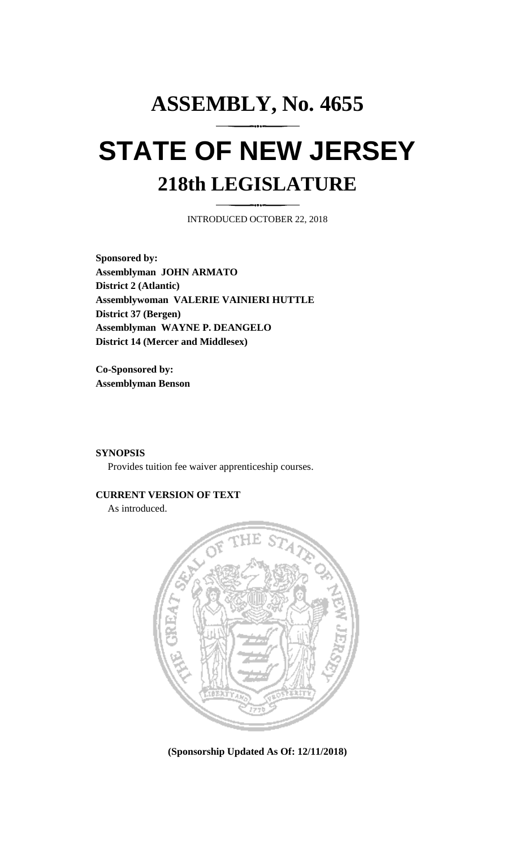# **ASSEMBLY, No. 4655 STATE OF NEW JERSEY 218th LEGISLATURE**

INTRODUCED OCTOBER 22, 2018

**Sponsored by: Assemblyman JOHN ARMATO District 2 (Atlantic) Assemblywoman VALERIE VAINIERI HUTTLE District 37 (Bergen) Assemblyman WAYNE P. DEANGELO District 14 (Mercer and Middlesex)**

**Co-Sponsored by: Assemblyman Benson**

### **SYNOPSIS**

Provides tuition fee waiver apprenticeship courses.

#### **CURRENT VERSION OF TEXT**

As introduced.



**(Sponsorship Updated As Of: 12/11/2018)**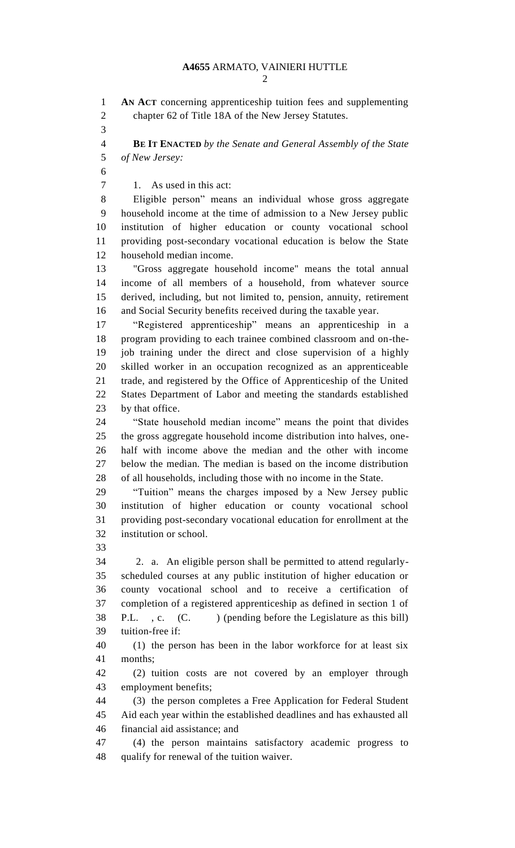**AN ACT** concerning apprenticeship tuition fees and supplementing chapter 62 of Title 18A of the New Jersey Statutes. **BE IT ENACTED** *by the Senate and General Assembly of the State of New Jersey:* 1. As used in this act: Eligible person" means an individual whose gross aggregate household income at the time of admission to a New Jersey public institution of higher education or county vocational school providing post-secondary vocational education is below the State household median income. "Gross aggregate household income" means the total annual income of all members of a household, from whatever source derived, including, but not limited to, pension, annuity, retirement and Social Security benefits received during the taxable year. "Registered apprenticeship" means an apprenticeship in a program providing to each trainee combined classroom and on-the- job training under the direct and close supervision of a highly skilled worker in an occupation recognized as an apprenticeable trade, and registered by the Office of Apprenticeship of the United States Department of Labor and meeting the standards established by that office. "State household median income" means the point that divides the gross aggregate household income distribution into halves, one- half with income above the median and the other with income below the median. The median is based on the income distribution of all households, including those with no income in the State. "Tuition" means the charges imposed by a New Jersey public institution of higher education or county vocational school providing post-secondary vocational education for enrollment at the institution or school. 2. a. An eligible person shall be permitted to attend regularly- scheduled courses at any public institution of higher education or county vocational school and to receive a certification of completion of a registered apprenticeship as defined in section 1 of 38 P.L., c. (C.) (pending before the Legislature as this bill) tuition-free if: (1) the person has been in the labor workforce for at least six months; (2) tuition costs are not covered by an employer through employment benefits; (3) the person completes a Free Application for Federal Student Aid each year within the established deadlines and has exhausted all financial aid assistance; and (4) the person maintains satisfactory academic progress to qualify for renewal of the tuition waiver.